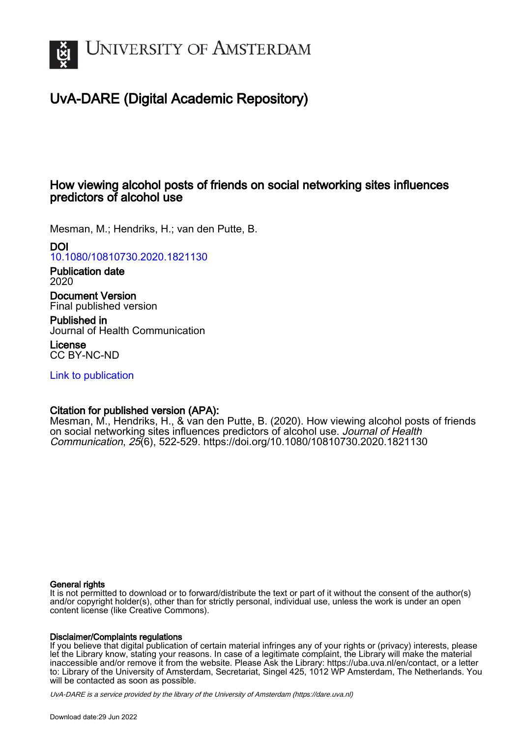

## UvA-DARE (Digital Academic Repository)

## How viewing alcohol posts of friends on social networking sites influences predictors of alcohol use

Mesman, M.; Hendriks, H.; van den Putte, B.

DOI

[10.1080/10810730.2020.1821130](https://doi.org/10.1080/10810730.2020.1821130)

Publication date 2020

Document Version Final published version

Published in Journal of Health Communication

License CC BY-NC-ND

[Link to publication](https://dare.uva.nl/personal/pure/en/publications/how-viewing-alcohol-posts-of-friends-on-social-networking-sites-influences-predictors-of-alcohol-use(2c8f4aea-e31f-4402-b38f-f75764067ea6).html)

### Citation for published version (APA):

Mesman, M., Hendriks, H., & van den Putte, B. (2020). How viewing alcohol posts of friends on social networking sites influences predictors of alcohol use. Journal of Health Communication, 25(6), 522-529.<https://doi.org/10.1080/10810730.2020.1821130>

#### General rights

It is not permitted to download or to forward/distribute the text or part of it without the consent of the author(s) and/or copyright holder(s), other than for strictly personal, individual use, unless the work is under an open content license (like Creative Commons).

#### Disclaimer/Complaints regulations

If you believe that digital publication of certain material infringes any of your rights or (privacy) interests, please let the Library know, stating your reasons. In case of a legitimate complaint, the Library will make the material inaccessible and/or remove it from the website. Please Ask the Library: https://uba.uva.nl/en/contact, or a letter to: Library of the University of Amsterdam, Secretariat, Singel 425, 1012 WP Amsterdam, The Netherlands. You will be contacted as soon as possible.

UvA-DARE is a service provided by the library of the University of Amsterdam (http*s*://dare.uva.nl)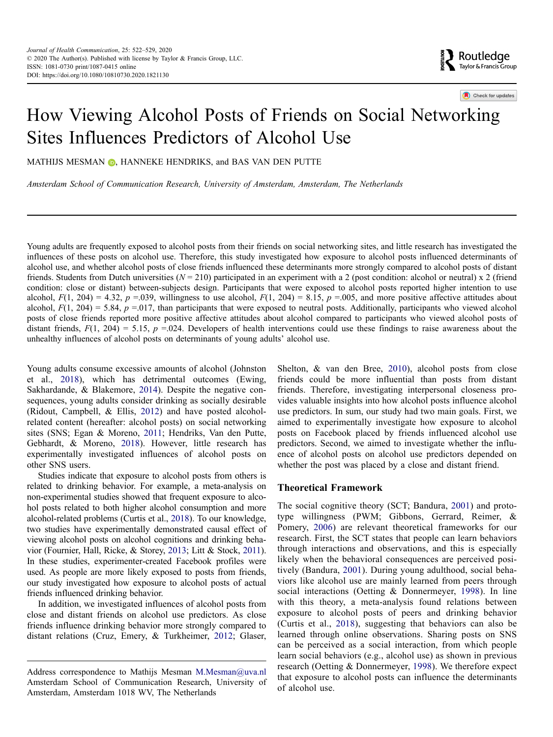Routledge Taylor & Francis Group

Check for updates

# How Viewing Alcohol Posts of Friends on Social Networking Sites Influences Predictors of Alcohol Use

MATHIJS MESMAN **D**, HANNEKE HENDRIKS, and BAS VAN DEN PUTTE

*Amsterdam School of Communication Research, University of Amsterdam, Amsterdam, The Netherlands*

Young adults are frequently exposed to alcohol posts from their friends on social networking sites, and little research has investigated the influences of these posts on alcohol use. Therefore, this study investigated how exposure to alcohol posts influenced determinants of alcohol use, and whether alcohol posts of close friends influenced these determinants more strongly compared to alcohol posts of distant friends. Students from Dutch universities  $(N = 210)$  participated in an experiment with a 2 (post condition: alcohol or neutral) x 2 (friend condition: close or distant) between-subjects design. Participants that were exposed to alcohol posts reported higher intention to use alcohol,  $F(1, 204) = 4.32$ ,  $p = 0.039$ , willingness to use alcohol,  $F(1, 204) = 8.15$ ,  $p = 0.005$ , and more positive affective attitudes about alcohol,  $F(1, 204) = 5.84$ ,  $p = 0.017$ , than participants that were exposed to neutral posts. Additionally, participants who viewed alcohol posts of close friends reported more positive affective attitudes about alcohol compared to participants who viewed alcohol posts of distant friends,  $F(1, 204) = 5.15$ ,  $p = 0.024$ . Developers of health interventions could use these findings to raise awareness about the unhealthy influences of alcohol posts on determinants of young adults' alcohol use.

<span id="page-1-11"></span><span id="page-1-9"></span><span id="page-1-4"></span>Young adults consume excessive amounts of alcohol (Johnston et al., [2018\)](#page-8-0), which has detrimental outcomes (Ewing, Sakhardande, & Blakemore, [2014](#page-7-0)). Despite the negative consequences, young adults consider drinking as socially desirable (Ridout, Campbell, & Ellis, [2012](#page-8-1)) and have posted alcoholrelated content (hereafter: alcohol posts) on social networking sites (SNS; Egan & Moreno, [2011](#page-7-1); Hendriks, Van den Putte, Gebhardt, & Moreno, [2018](#page-7-2)). However, little research has experimentally investigated influences of alcohol posts on other SNS users.

<span id="page-1-8"></span><span id="page-1-3"></span>Studies indicate that exposure to alcohol posts from others is related to drinking behavior. For example, a meta-analysis on non-experimental studies showed that frequent exposure to alcohol posts related to both higher alcohol consumption and more alcohol-related problems (Curtis et al., [2018](#page-7-3)). To our knowledge, two studies have experimentally demonstrated causal effect of viewing alcohol posts on alcohol cognitions and drinking behavior (Fournier, Hall, Ricke, & Storey, [2013](#page-7-4); Litt & Stock, [2011](#page-8-2)). In these studies, experimenter-created Facebook profiles were used. As people are more likely exposed to posts from friends, our study investigated how exposure to alcohol posts of actual friends influenced drinking behavior.

<span id="page-1-5"></span><span id="page-1-1"></span>In addition, we investigated influences of alcohol posts from close and distant friends on alcohol use predictors. As close friends influence drinking behavior more strongly compared to distant relations (Cruz, Emery, & Turkheimer, [2012](#page-7-5); Glaser, <span id="page-1-7"></span>Shelton, & van den Bree, [2010](#page-7-6)), alcohol posts from close friends could be more influential than posts from distant friends. Therefore, investigating interpersonal closeness provides valuable insights into how alcohol posts influence alcohol use predictors. In sum, our study had two main goals. First, we aimed to experimentally investigate how exposure to alcohol posts on Facebook placed by friends influenced alcohol use predictors. Second, we aimed to investigate whether the influence of alcohol posts on alcohol use predictors depended on whether the post was placed by a close and distant friend.

#### **Theoretical Framework**

<span id="page-1-10"></span><span id="page-1-6"></span><span id="page-1-2"></span><span id="page-1-0"></span>The social cognitive theory (SCT; Bandura, [2001](#page-7-7)) and prototype willingness (PWM; Gibbons, Gerrard, Reimer, & Pomery, [2006](#page-7-8)) are relevant theoretical frameworks for our research. First, the SCT states that people can learn behaviors through interactions and observations, and this is especially likely when the behavioral consequences are perceived positively (Bandura, [2001\)](#page-7-7). During young adulthood, social behaviors like alcohol use are mainly learned from peers through social interactions (Oetting & Donnermeyer, [1998](#page-8-3)). In line with this theory, a meta-analysis found relations between exposure to alcohol posts of peers and drinking behavior (Curtis et al., [2018](#page-7-3)), suggesting that behaviors can also be learned through online observations. Sharing posts on SNS can be perceived as a social interaction, from which people learn social behaviors (e.g., alcohol use) as shown in previous research (Oetting & Donnermeyer, [1998\)](#page-8-3). We therefore expect that exposure to alcohol posts can influence the determinants of alcohol use.

Address correspondence to Mathijs Mesman M.Mesman@uva.nl Amsterdam School of Communication Research, University of Amsterdam, Amsterdam 1018 WV, The Netherlands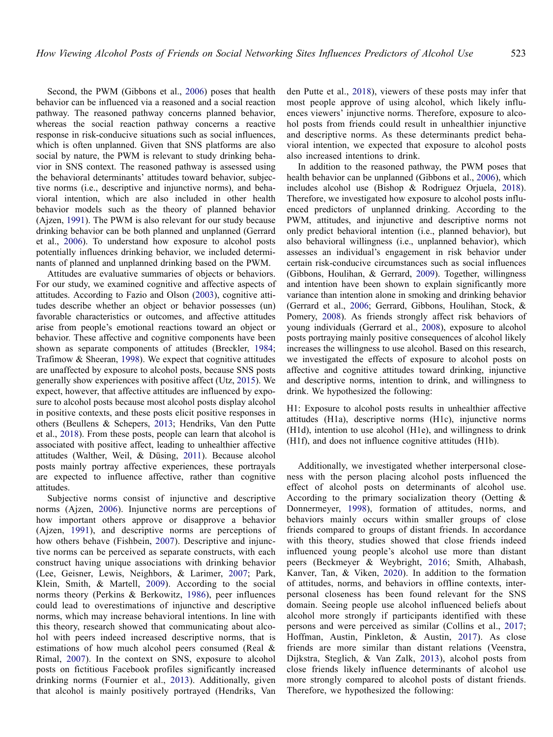Second, the PWM (Gibbons et al., [2006](#page-7-8)) poses that health behavior can be influenced via a reasoned and a social reaction pathway. The reasoned pathway concerns planned behavior, whereas the social reaction pathway concerns a reactive response in risk-conducive situations such as social influences, which is often unplanned. Given that SNS platforms are also social by nature, the PWM is relevant to study drinking behavior in SNS context. The reasoned pathway is assessed using the behavioral determinants' attitudes toward behavior, subjective norms (i.e., descriptive and injunctive norms), and behavioral intention, which are also included in other health behavior models such as the theory of planned behavior (Ajzen, [1991](#page-7-9)). The PWM is also relevant for our study because drinking behavior can be both planned and unplanned (Gerrard et al., [2006\)](#page-7-10). To understand how exposure to alcohol posts potentially influences drinking behavior, we included determinants of planned and unplanned drinking based on the PWM.

<span id="page-2-19"></span><span id="page-2-18"></span><span id="page-2-7"></span><span id="page-2-5"></span>Attitudes are evaluative summaries of objects or behaviors. For our study, we examined cognitive and affective aspects of attitudes. According to Fazio and Olson ([2003\)](#page-7-11), cognitive attitudes describe whether an object or behavior possesses (un) favorable characteristics or outcomes, and affective attitudes arise from people's emotional reactions toward an object or behavior. These affective and cognitive components have been shown as separate components of attitudes (Breckler, [1984](#page-7-12); Trafimow & Sheeran, [1998\)](#page-8-4). We expect that cognitive attitudes are unaffected by exposure to alcohol posts, because SNS posts generally show experiences with positive affect (Utz, [2015\)](#page-8-5). We expect, however, that affective attitudes are influenced by exposure to alcohol posts because most alcohol posts display alcohol in positive contexts, and these posts elicit positive responses in others (Beullens & Schepers, [2013;](#page-7-13) Hendriks, Van den Putte et al., [2018\)](#page-7-2). From these posts, people can learn that alcohol is associated with positive affect, leading to unhealthier affective attitudes (Walther, Weil, & Düsing, [2011\)](#page-8-6). Because alcohol posts mainly portray affective experiences, these portrayals are expected to influence affective, rather than cognitive attitudes.

<span id="page-2-21"></span><span id="page-2-16"></span><span id="page-2-15"></span><span id="page-2-14"></span><span id="page-2-13"></span><span id="page-2-8"></span><span id="page-2-3"></span><span id="page-2-1"></span><span id="page-2-0"></span>Subjective norms consist of injunctive and descriptive norms (Ajzen, [2006](#page-7-14)). Injunctive norms are perceptions of how important others approve or disapprove a behavior (Ajzen, [1991](#page-7-9)), and descriptive norms are perceptions of how others behave (Fishbein, [2007](#page-7-15)). Descriptive and injunctive norms can be perceived as separate constructs, with each construct having unique associations with drinking behavior (Lee, Geisner, Lewis, Neighbors, & Larimer, [2007;](#page-8-7) Park, Klein, Smith, & Martell, [2009](#page-8-8)). According to the social norms theory (Perkins & Berkowitz, [1986](#page-8-9)), peer influences could lead to overestimations of injunctive and descriptive norms, which may increase behavioral intentions. In line with this theory, research showed that communicating about alcohol with peers indeed increased descriptive norms, that is estimations of how much alcohol peers consumed (Real & Rimal, [2007\)](#page-8-10). In the context on SNS, exposure to alcohol posts on fictitious Facebook profiles significantly increased drinking norms (Fournier et al., [2013](#page-7-4)). Additionally, given that alcohol is mainly positively portrayed (Hendriks, Van den Putte et al., [2018\)](#page-7-2), viewers of these posts may infer that most people approve of using alcohol, which likely influences viewers' injunctive norms. Therefore, exposure to alcohol posts from friends could result in unhealthier injunctive and descriptive norms. As these determinants predict behavioral intention, we expected that exposure to alcohol posts also increased intentions to drink.

<span id="page-2-11"></span><span id="page-2-4"></span>In addition to the reasoned pathway, the PWM poses that health behavior can be unplanned (Gibbons et al., [2006\)](#page-7-8), which includes alcohol use (Bishop & Rodriguez Orjuela, [2018](#page-7-16)). Therefore, we investigated how exposure to alcohol posts influenced predictors of unplanned drinking. According to the PWM, attitudes, and injunctive and descriptive norms not only predict behavioral intention (i.e., planned behavior), but also behavioral willingness (i.e., unplanned behavior), which assesses an individual's engagement in risk behavior under certain risk-conducive circumstances such as social influences (Gibbons, Houlihan, & Gerrard, [2009\)](#page-7-17). Together, willingness and intention have been shown to explain significantly more variance than intention alone in smoking and drinking behavior (Gerrard et al., [2006;](#page-7-10) Gerrard, Gibbons, Houlihan, Stock, & Pomery, [2008](#page-7-18)). As friends strongly affect risk behaviors of young individuals (Gerrard et al., [2008\)](#page-7-18), exposure to alcohol posts portraying mainly positive consequences of alcohol likely increases the willingness to use alcohol. Based on this research, we investigated the effects of exposure to alcohol posts on affective and cognitive attitudes toward drinking, injunctive and descriptive norms, intention to drink, and willingness to drink. We hypothesized the following:

<span id="page-2-10"></span><span id="page-2-9"></span>H1: Exposure to alcohol posts results in unhealthier affective attitudes (H1a), descriptive norms (H1c), injunctive norms (H1d), intention to use alcohol (H1e), and willingness to drink (H1f), and does not influence cognitive attitudes (H1b).

<span id="page-2-20"></span><span id="page-2-17"></span><span id="page-2-12"></span><span id="page-2-6"></span><span id="page-2-2"></span>Additionally, we investigated whether interpersonal closeness with the person placing alcohol posts influenced the effect of alcohol posts on determinants of alcohol use. According to the primary socialization theory (Oetting & Donnermeyer, [1998\)](#page-8-3), formation of attitudes, norms, and behaviors mainly occurs within smaller groups of close friends compared to groups of distant friends. In accordance with this theory, studies showed that close friends indeed influenced young people's alcohol use more than distant peers (Beckmeyer & Weybright, [2016;](#page-7-19) Smith, Alhabash, Kanver, Tan, & Viken, [2020](#page-8-11)). In addition to the formation of attitudes, norms, and behaviors in offline contexts, interpersonal closeness has been found relevant for the SNS domain. Seeing people use alcohol influenced beliefs about alcohol more strongly if participants identified with these persons and were perceived as similar (Collins et al., [2017](#page-7-20); Hoffman, Austin, Pinkleton, & Austin, [2017\)](#page-8-12). As close friends are more similar than distant relations (Veenstra, Dijkstra, Steglich, & Van Zalk, [2013](#page-8-13)), alcohol posts from close friends likely influence determinants of alcohol use more strongly compared to alcohol posts of distant friends. Therefore, we hypothesized the following: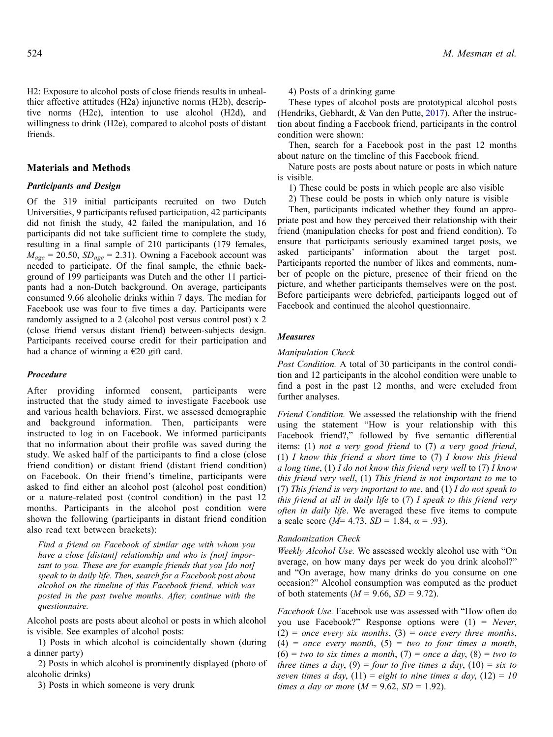H2: Exposure to alcohol posts of close friends results in unhealthier affective attitudes (H2a) injunctive norms (H2b), descriptive norms (H2c), intention to use alcohol (H2d), and willingness to drink (H2e), compared to alcohol posts of distant friends.

#### **Materials and Methods**

#### *Participants and Design*

Of the 319 initial participants recruited on two Dutch Universities, 9 participants refused participation, 42 participants did not finish the study, 42 failed the manipulation, and 16 participants did not take sufficient time to complete the study, resulting in a final sample of 210 participants (179 females,  $M_{age} = 20.50$ ,  $SD_{age} = 2.31$ ). Owning a Facebook account was needed to participate. Of the final sample, the ethnic background of 199 participants was Dutch and the other 11 participants had a non-Dutch background. On average, participants consumed 9.66 alcoholic drinks within 7 days. The median for Facebook use was four to five times a day. Participants were randomly assigned to a 2 (alcohol post versus control post) x 2 (close friend versus distant friend) between-subjects design. Participants received course credit for their participation and had a chance of winning a  $E20$  gift card.

#### *Procedure*

After providing informed consent, participants were instructed that the study aimed to investigate Facebook use and various health behaviors. First, we assessed demographic and background information. Then, participants were instructed to log in on Facebook. We informed participants that no information about their profile was saved during the study. We asked half of the participants to find a close (close friend condition) or distant friend (distant friend condition) on Facebook. On their friend's timeline, participants were asked to find either an alcohol post (alcohol post condition) or a nature-related post (control condition) in the past 12 months. Participants in the alcohol post condition were shown the following (participants in distant friend condition also read text between brackets):

*Find a friend on Facebook of similar age with whom you have a close [distant] relationship and who is [not] important to you. These are for example friends that you [do not] speak to in daily life. Then, search for a Facebook post about alcohol on the timeline of this Facebook friend, which was posted in the past twelve months. After, continue with the questionnaire.* 

Alcohol posts are posts about alcohol or posts in which alcohol is visible. See examples of alcohol posts:

1) Posts in which alcohol is coincidentally shown (during a dinner party)

2) Posts in which alcohol is prominently displayed (photo of alcoholic drinks)

3) Posts in which someone is very drunk

4) Posts of a drinking game

<span id="page-3-0"></span>These types of alcohol posts are prototypical alcohol posts (Hendriks, Gebhardt, & Van den Putte, [2017](#page-7-21)). After the instruction about finding a Facebook friend, participants in the control condition were shown:

Then, search for a Facebook post in the past 12 months about nature on the timeline of this Facebook friend.

Nature posts are posts about nature or posts in which nature is visible.

1) These could be posts in which people are also visible

2) These could be posts in which only nature is visible

Then, participants indicated whether they found an appropriate post and how they perceived their relationship with their friend (manipulation checks for post and friend condition). To ensure that participants seriously examined target posts, we asked participants' information about the target post. Participants reported the number of likes and comments, number of people on the picture, presence of their friend on the picture, and whether participants themselves were on the post. Before participants were debriefed, participants logged out of Facebook and continued the alcohol questionnaire.

#### *Measures*

#### *Manipulation Check*

*Post Condition.* A total of 30 participants in the control condition and 12 participants in the alcohol condition were unable to find a post in the past 12 months, and were excluded from further analyses.

*Friend Condition.* We assessed the relationship with the friend using the statement "How is your relationship with this Facebook friend?," followed by five semantic differential items: (1) *not a very good friend* to (7) *a very good friend*, (1) *I know this friend a short time* to (7) *I know this friend a long time*, (1) *I do not know this friend very well* to (7) *I know this friend very well*, (1) *This friend is not important to me* to (7) *This friend is very important to me*, and (1) *I do not speak to this friend at all in daily life* to (7) *I speak to this friend very often in daily life*. We averaged these five items to compute a scale score ( $M=$  4.73,  $SD = 1.84$ ,  $\alpha = .93$ ).

#### *Randomization Check*

*Weekly Alcohol Use.* We assessed weekly alcohol use with "On average, on how many days per week do you drink alcohol?" and "On average, how many drinks do you consume on one occasion?" Alcohol consumption was computed as the product of both statements  $(M = 9.66, SD = 9.72)$ .

*Facebook Use.* Facebook use was assessed with "How often do you use Facebook?" Response options were (1) = *Never*,  $(2)$  = *once every six months*,  $(3)$  = *once every three months*,  $(4)$  = *once every month*,  $(5)$  = *two to four times a month*, (6) = *two to six times a month*, (7) = *once a day*, (8) = *two to three times a day*, (9) = *four to five times a day*, (10) = *six to seven times a day*,  $(11) =$  *eight to nine times a day*,  $(12) = 10$ *times a day or more*  $(M = 9.62, SD = 1.92)$ .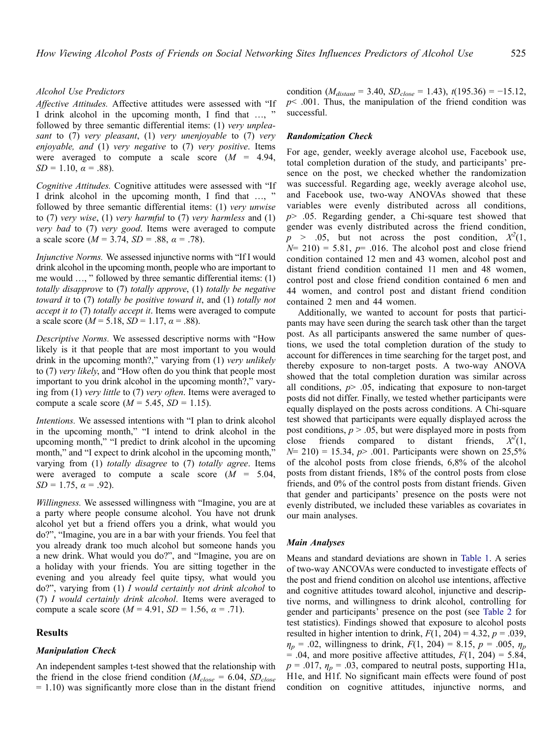#### *Alcohol Use Predictors*

*Affective Attitudes.* Affective attitudes were assessed with "If I drink alcohol in the upcoming month, I find that …, " followed by three semantic differential items: (1) *very unpleasant* to (7) *very pleasant*, (1) *very unenjoyable* to (7) *very enjoyable, and* (1) *very negative* to (7) *very positive*. Items were averaged to compute a scale score  $(M = 4.94,$  $SD = 1.10, \alpha = .88$ ).

*Cognitive Attitudes.* Cognitive attitudes were assessed with "If I drink alcohol in the upcoming month, I find that …, " followed by three semantic differential items: (1) *very unwise*  to (7) *very wise*, (1) *very harmful* to (7) *very harmless* and (1) *very bad* to (7) *very good*. Items were averaged to compute a scale score ( $M = 3.74$ ,  $SD = .88$ ,  $\alpha = .78$ ).

*Injunctive Norms.* We assessed injunctive norms with "If I would drink alcohol in the upcoming month, people who are important to me would …, " followed by three semantic differential items: (1) *totally disapprove* to (7) *totally approve*, (1) *totally be negative toward it* to (7) *totally be positive toward it*, and (1) *totally not accept it to* (7) *totally accept it*. Items were averaged to compute a scale score ( $M = 5.18$ ,  $SD = 1.17$ ,  $\alpha = .88$ ).

*Descriptive Norms.* We assessed descriptive norms with "How likely is it that people that are most important to you would drink in the upcoming month?," varying from (1) *very unlikely*  to (7) *very likely*, and "How often do you think that people most important to you drink alcohol in the upcoming month?," varying from (1) *very little* to (7) *very often*. Items were averaged to compute a scale score ( $M = 5.45$ ,  $SD = 1.15$ ).

*Intentions.* We assessed intentions with "I plan to drink alcohol in the upcoming month," "I intend to drink alcohol in the upcoming month," "I predict to drink alcohol in the upcoming month," and "I expect to drink alcohol in the upcoming month," varying from (1) *totally disagree* to (7) *totally agree*. Items were averaged to compute a scale score  $(M = 5.04,$ *SD* = 1.75,  $\alpha$  = .92).

*Willingness.* We assessed willingness with "Imagine, you are at a party where people consume alcohol. You have not drunk alcohol yet but a friend offers you a drink, what would you do?", "Imagine, you are in a bar with your friends. You feel that you already drank too much alcohol but someone hands you a new drink. What would you do?", and "Imagine, you are on a holiday with your friends. You are sitting together in the evening and you already feel quite tipsy, what would you do?", varying from (1) *I would certainly not drink alcohol* to (7) *I would certainly drink alcohol*. Items were averaged to compute a scale score ( $M = 4.91$ ,  $SD = 1.56$ ,  $\alpha = .71$ ).

#### **Results**

#### *Manipulation Check*

An independent samples t-test showed that the relationship with the friend in the close friend condition ( $M_{close} = 6.04$ ,  $SD_{close}$  $= 1.10$ ) was significantly more close than in the distant friend

condition ( $M_{distant} = 3.40$ ,  $SD_{close} = 1.43$ ),  $t(195.36) = -15.12$ ,  $p$ < .001. Thus, the manipulation of the friend condition was successful.

#### *Randomization Check*

For age, gender, weekly average alcohol use, Facebook use, total completion duration of the study, and participants' presence on the post, we checked whether the randomization was successful. Regarding age, weekly average alcohol use, and Facebook use, two-way ANOVAs showed that these variables were evenly distributed across all conditions, *p*> .05. Regarding gender, a Chi-square test showed that gender was evenly distributed across the friend condition,  $p > .05$ , but not across the post condition,  $X^2(1)$ ,  $N= 210$ ) = 5.81,  $p=$  .016. The alcohol post and close friend condition contained 12 men and 43 women, alcohol post and distant friend condition contained 11 men and 48 women, control post and close friend condition contained 6 men and 44 women, and control post and distant friend condition contained 2 men and 44 women.

Additionally, we wanted to account for posts that participants may have seen during the search task other than the target post. As all participants answered the same number of questions, we used the total completion duration of the study to account for differences in time searching for the target post, and thereby exposure to non-target posts. A two-way ANOVA showed that the total completion duration was similar across all conditions, *p*> .05, indicating that exposure to non-target posts did not differ. Finally, we tested whether participants were equally displayed on the posts across conditions. A Chi-square test showed that participants were equally displayed across the post conditions,  $p > 0.05$ , but were displayed more in posts from close friends compared to distant friends,  $X^2(1)$ , *N*= 210) = 15.34, *p*> .001. Participants were shown on 25,5% of the alcohol posts from close friends, 6,8% of the alcohol posts from distant friends, 18% of the control posts from close friends, and 0% of the control posts from distant friends. Given that gender and participants' presence on the posts were not evenly distributed, we included these variables as covariates in our main analyses.

#### *Main Analyses*

Means and standard deviations are shown in [Table 1.](#page-5-0) A series of two-way ANCOVAs were conducted to investigate effects of the post and friend condition on alcohol use intentions, affective and cognitive attitudes toward alcohol, injunctive and descriptive norms, and willingness to drink alcohol, controlling for gender and participants' presence on the post (see [Table 2](#page-5-1) for test statistics). Findings showed that exposure to alcohol posts resulted in higher intention to drink,  $F(1, 204) = 4.32$ ,  $p = .039$ ,  $\eta_p$  = .02, willingness to drink,  $F(1, 204) = 8.15$ ,  $p = .005$ ,  $\eta_p$  $= .04$ , and more positive affective attitudes,  $F(1, 204) = 5.84$ ,  $p = .017$ ,  $\eta_p = .03$ , compared to neutral posts, supporting H1a, H1e, and H1f. No significant main effects were found of post condition on cognitive attitudes, injunctive norms, and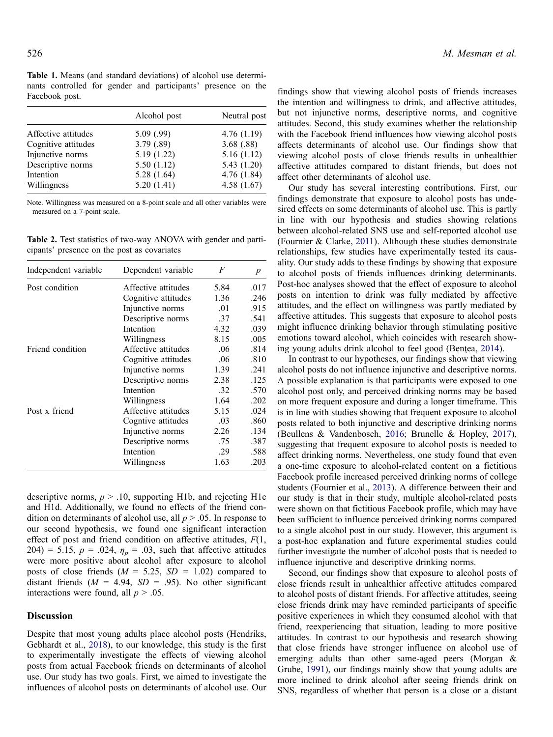<span id="page-5-0"></span>**Table 1.** Means (and standard deviations) of alcohol use determinants controlled for gender and participants' presence on the Facebook post.

| Alcohol post | Neutral post                                      |
|--------------|---------------------------------------------------|
|              | 4.76(1.19)                                        |
|              | 3.68(.88)                                         |
|              | 5.16(1.12)                                        |
| 5.50(1.12)   | 5.43(1.20)                                        |
|              | 4.76(1.84)                                        |
| 5.20(1.41)   | 4.58(1.67)                                        |
|              | 5.09(99)<br>3.79(.89)<br>5.19(1.22)<br>5.28(1.64) |

Note. Willingness was measured on a 8-point scale and all other variables were measured on a 7-point scale.

<span id="page-5-1"></span>**Table 2.** Test statistics of two-way ANOVA with gender and participants' presence on the post as covariates

| Independent variable | Dependent variable  | F    | $\boldsymbol{p}$ |
|----------------------|---------------------|------|------------------|
| Post condition       | Affective attitudes | 5.84 | .017             |
|                      | Cognitive attitudes | 1.36 | .246             |
|                      | Injunctive norms    | .01  | .915             |
|                      | Descriptive norms   | .37  | .541             |
|                      | Intention           | 4.32 | .039             |
|                      | Willingness         | 8.15 | .005             |
| Friend condition     | Affective attitudes | .06  | .814             |
|                      | Cognitive attitudes | .06  | .810             |
|                      | Injunctive norms    | 1.39 | .241             |
|                      | Descriptive norms   | 2.38 | .125             |
|                      | Intention           | .32  | .570             |
|                      | Willingness         | 1.64 | .202             |
| Post x friend        | Affective attitudes | 5.15 | .024             |
|                      | Cogntive attitudes  | .03  | .860             |
|                      | Injunctive norms    | 2.26 | .134             |
|                      | Descriptive norms   | .75  | .387             |
|                      | Intention           | .29  | .588             |
|                      | Willingness         | 1.63 | .203             |

descriptive norms,  $p > .10$ , supporting H1b, and rejecting H1c and H1d. Additionally, we found no effects of the friend condition on determinants of alcohol use, all *p* > .05. In response to our second hypothesis, we found one significant interaction effect of post and friend condition on affective attitudes, *F*(1, 204) = 5.15,  $p = .024$ ,  $\eta_p = .03$ , such that affective attitudes were more positive about alcohol after exposure to alcohol posts of close friends  $(M = 5.25, SD = 1.02)$  compared to distant friends  $(M = 4.94, SD = .95)$ . No other significant interactions were found, all  $p > .05$ .

#### **Discussion**

<span id="page-5-5"></span>Despite that most young adults place alcohol posts (Hendriks, Gebhardt et al., [2018](#page-7-22)), to our knowledge, this study is the first to experimentally investigate the effects of viewing alcohol posts from actual Facebook friends on determinants of alcohol use. Our study has two goals. First, we aimed to investigate the influences of alcohol posts on determinants of alcohol use. Our

findings show that viewing alcohol posts of friends increases the intention and willingness to drink, and affective attitudes, but not injunctive norms, descriptive norms, and cognitive attitudes. Second, this study examines whether the relationship with the Facebook friend influences how viewing alcohol posts affects determinants of alcohol use. Our findings show that viewing alcohol posts of close friends results in unhealthier affective attitudes compared to distant friends, but does not affect other determinants of alcohol use.

<span id="page-5-4"></span>Our study has several interesting contributions. First, our findings demonstrate that exposure to alcohol posts has undesired effects on some determinants of alcohol use. This is partly in line with our hypothesis and studies showing relations between alcohol-related SNS use and self-reported alcohol use (Fournier & Clarke, [2011\)](#page-7-23). Although these studies demonstrate relationships, few studies have experimentally tested its causality. Our study adds to these findings by showing that exposure to alcohol posts of friends influences drinking determinants. Post-hoc analyses showed that the effect of exposure to alcohol posts on intention to drink was fully mediated by affective attitudes, and the effect on willingness was partly mediated by affective attitudes. This suggests that exposure to alcohol posts might influence drinking behavior through stimulating positive emotions toward alcohol, which coincides with research showing young adults drink alcohol to feel good (Benţea, [2014](#page-7-24)).

<span id="page-5-3"></span><span id="page-5-2"></span>In contrast to our hypotheses, our findings show that viewing alcohol posts do not influence injunctive and descriptive norms. A possible explanation is that participants were exposed to one alcohol post only, and perceived drinking norms may be based on more frequent exposure and during a longer timeframe. This is in line with studies showing that frequent exposure to alcohol posts related to both injunctive and descriptive drinking norms (Beullens & Vandenbosch, [2016](#page-7-25); Brunelle & Hopley, [2017](#page-7-26)), suggesting that frequent exposure to alcohol posts is needed to affect drinking norms. Nevertheless, one study found that even a one-time exposure to alcohol-related content on a fictitious Facebook profile increased perceived drinking norms of college students (Fournier et al., [2013](#page-7-4)). A difference between their and our study is that in their study, multiple alcohol-related posts were shown on that fictitious Facebook profile, which may have been sufficient to influence perceived drinking norms compared to a single alcohol post in our study. However, this argument is a post-hoc explanation and future experimental studies could further investigate the number of alcohol posts that is needed to influence injunctive and descriptive drinking norms.

<span id="page-5-6"></span>Second, our findings show that exposure to alcohol posts of close friends result in unhealthier affective attitudes compared to alcohol posts of distant friends. For affective attitudes, seeing close friends drink may have reminded participants of specific positive experiences in which they consumed alcohol with that friend, reexperiencing that situation, leading to more positive attitudes. In contrast to our hypothesis and research showing that close friends have stronger influence on alcohol use of emerging adults than other same-aged peers (Morgan & Grube, [1991](#page-8-14)), our findings mainly show that young adults are more inclined to drink alcohol after seeing friends drink on SNS, regardless of whether that person is a close or a distant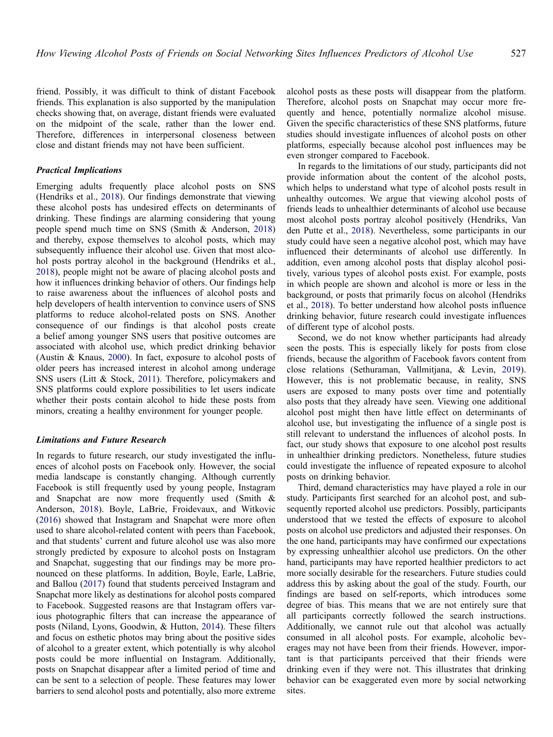friend. Possibly, it was difficult to think of distant Facebook friends. This explanation is also supported by the manipulation checks showing that, on average, distant friends were evaluated on the midpoint of the scale, rather than the lower end. Therefore, differences in interpersonal closeness between close and distant friends may not have been sufficient.

#### *Practical Implications*

Emerging adults frequently place alcohol posts on SNS (Hendriks et al., [2018\)](#page-7-2). Our findings demonstrate that viewing these alcohol posts has undesired effects on determinants of drinking. These findings are alarming considering that young people spend much time on SNS (Smith & Anderson, [2018\)](#page-8-15) and thereby, expose themselves to alcohol posts, which may subsequently influence their alcohol use. Given that most alcohol posts portray alcohol in the background (Hendriks et al., [2018\)](#page-7-2), people might not be aware of placing alcohol posts and how it influences drinking behavior of others. Our findings help to raise awareness about the influences of alcohol posts and help developers of health intervention to convince users of SNS platforms to reduce alcohol-related posts on SNS. Another consequence of our findings is that alcohol posts create a belief among younger SNS users that positive outcomes are associated with alcohol use, which predict drinking behavior (Austin & Knaus, [2000\)](#page-7-27). In fact, exposure to alcohol posts of older peers has increased interest in alcohol among underage SNS users (Litt & Stock, [2011](#page-8-2)). Therefore, policymakers and SNS platforms could explore possibilities to let users indicate whether their posts contain alcohol to hide these posts from minors, creating a healthy environment for younger people.

#### <span id="page-6-0"></span>*Limitations and Future Research*

<span id="page-6-5"></span><span id="page-6-3"></span><span id="page-6-2"></span><span id="page-6-1"></span>In regards to future research, our study investigated the influences of alcohol posts on Facebook only. However, the social media landscape is constantly changing. Although currently Facebook is still frequently used by young people, Instagram and Snapchat are now more frequently used (Smith & Anderson, [2018\)](#page-8-15). Boyle, LaBrie, Froidevaux, and Witkovic [\(2016](#page-7-28)) showed that Instagram and Snapchat were more often used to share alcohol-related content with peers than Facebook, and that students' current and future alcohol use was also more strongly predicted by exposure to alcohol posts on Instagram and Snapchat, suggesting that our findings may be more pronounced on these platforms. In addition, Boyle, Earle, LaBrie, and Ballou ([2017\)](#page-7-29) found that students perceived Instagram and Snapchat more likely as destinations for alcohol posts compared to Facebook. Suggested reasons are that Instagram offers various photographic filters that can increase the appearance of posts (Niland, Lyons, Goodwin, & Hutton, [2014\)](#page-8-16). These filters and focus on esthetic photos may bring about the positive sides of alcohol to a greater extent, which potentially is why alcohol posts could be more influential on Instagram. Additionally, posts on Snapchat disappear after a limited period of time and can be sent to a selection of people. These features may lower barriers to send alcohol posts and potentially, also more extreme alcohol posts as these posts will disappear from the platform. Therefore, alcohol posts on Snapchat may occur more frequently and hence, potentially normalize alcohol misuse. Given the specific characteristics of these SNS platforms, future studies should investigate influences of alcohol posts on other platforms, especially because alcohol post influences may be even stronger compared to Facebook.

In regards to the limitations of our study, participants did not provide information about the content of the alcohol posts, which helps to understand what type of alcohol posts result in unhealthy outcomes. We argue that viewing alcohol posts of friends leads to unhealthier determinants of alcohol use because most alcohol posts portray alcohol positively (Hendriks, Van den Putte et al., [2018](#page-7-2)). Nevertheless, some participants in our study could have seen a negative alcohol post, which may have influenced their determinants of alcohol use differently. In addition, even among alcohol posts that display alcohol positively, various types of alcohol posts exist. For example, posts in which people are shown and alcohol is more or less in the background, or posts that primarily focus on alcohol (Hendriks et al., [2018](#page-7-2)). To better understand how alcohol posts influence drinking behavior, future research could investigate influences of different type of alcohol posts.

<span id="page-6-4"></span>Second, we do not know whether participants had already seen the posts. This is especially likely for posts from close friends, because the algorithm of Facebook favors content from close relations (Sethuraman, Vallmitjana, & Levin, [2019](#page-8-17)). However, this is not problematic because, in reality, SNS users are exposed to many posts over time and potentially also posts that they already have seen. Viewing one additional alcohol post might then have little effect on determinants of alcohol use, but investigating the influence of a single post is still relevant to understand the influences of alcohol posts. In fact, our study shows that exposure to one alcohol post results in unhealthier drinking predictors. Nonetheless, future studies could investigate the influence of repeated exposure to alcohol posts on drinking behavior.

Third, demand characteristics may have played a role in our study. Participants first searched for an alcohol post, and subsequently reported alcohol use predictors. Possibly, participants understood that we tested the effects of exposure to alcohol posts on alcohol use predictors and adjusted their responses. On the one hand, participants may have confirmed our expectations by expressing unhealthier alcohol use predictors. On the other hand, participants may have reported healthier predictors to act more socially desirable for the researchers. Future studies could address this by asking about the goal of the study. Fourth, our findings are based on self-reports, which introduces some degree of bias. This means that we are not entirely sure that all participants correctly followed the search instructions. Additionally, we cannot rule out that alcohol was actually consumed in all alcohol posts. For example, alcoholic beverages may not have been from their friends. However, important is that participants perceived that their friends were drinking even if they were not. This illustrates that drinking behavior can be exaggerated even more by social networking sites.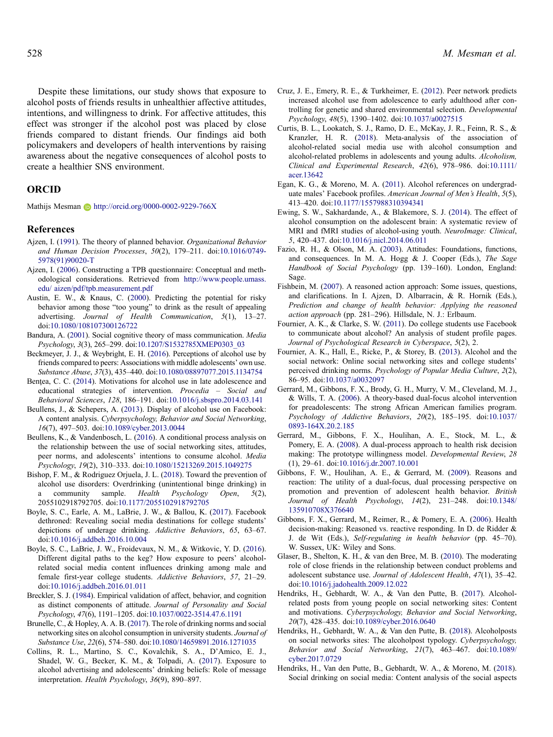Despite these limitations, our study shows that exposure to alcohol posts of friends results in unhealthier affective attitudes, intentions, and willingness to drink. For affective attitudes, this effect was stronger if the alcohol post was placed by close friends compared to distant friends. Our findings aid both policymakers and developers of health interventions by raising awareness about the negative consequences of alcohol posts to create a healthier SNS environment.

#### **ORCID**

Mathijs Mesman **b** http://orcid.org/0000-0002-9229-766X

#### **References**

- <span id="page-7-9"></span>Ajzen, I. ([1991\)](#page-2-0). The theory of planned behavior. *Organizational Behavior and Human Decision Processes*, *50*(2), 179–211. doi:[10.1016/0749-](https://doi.org/10.1016/0749-5978(91)90020-T) [5978\(91\)90020-T](https://doi.org/10.1016/0749-5978(91)90020-T)
- <span id="page-7-14"></span>Ajzen, I. [\(2006](#page-2-1)). Constructing a TPB questionnaire: Conceptual and methodological considerations. Retrieved from [http://www.people.umass.](http://www.people.umass.edu/%A0aizen/pdf/tpb.measurement.pdf) [edu/ aizen/pdf/tpb.measurement.pdf](http://www.people.umass.edu/%A0aizen/pdf/tpb.measurement.pdf)
- <span id="page-7-27"></span>Austin, E. W., & Knaus, C. [\(2000](#page-6-0)). Predicting the potential for risky behavior among those "too young" to drink as the result of appealing advertising. *Journal of Health Communication*, *5*(1), 13–27. doi:[10.1080/108107300126722](https://doi.org/10.1080/108107300126722)
- <span id="page-7-7"></span>Bandura, A. [\(2001\)](#page-1-0). Social cognitive theory of mass communication. *Media Psychology*, *3*(3), 265–299. doi:[10.1207/S1532785XMEP0303\\_03](https://doi.org/10.1207/S1532785XMEP0303_03)
- <span id="page-7-19"></span>Beckmeyer, J. J., & Weybright, E. H. ([2016](#page-2-2)). Perceptions of alcohol use by friends compared to peers: Associations with middle adolescents' own use. *Substance Abuse*, *37*(3), 435–440. doi:[10.1080/08897077.2015.1134754](https://doi.org/10.1080/08897077.2015.1134754)
- <span id="page-7-24"></span>Bentea, C. C. ([2014\)](#page-5-2). Motivations for alcohol use in late adolescence and educational strategies of intervention. *Procedia – Social and Behavioral Sciences*, *128*, 186–191. doi:[10.1016/j.sbspro.2014.03.141](https://doi.org/10.1016/j.sbspro.2014.03.141)
- <span id="page-7-13"></span>Beullens, J., & Schepers, A. [\(2013](#page-2-3)). Display of alcohol use on Facebook: A content analysis. *Cyberpsychology, Behavior and Social Networking*, *16*(7), 497–503. doi:[10.1089/cyber.2013.0044](https://doi.org/10.1089/cyber.2013.0044)
- <span id="page-7-25"></span>Beullens, K., & Vandenbosch, L. ([2016\)](#page-5-3). A conditional process analysis on the relationship between the use of social networking sites, attitudes, peer norms, and adolescents' intentions to consume alcohol. *Media Psychology*, *19*(2), 310–333. doi:[10.1080/15213269.2015.1049275](https://doi.org/10.1080/15213269.2015.1049275)
- <span id="page-7-16"></span>Bishop, F. M., & Rodriguez Orjuela, J. L. ([2018\)](#page-2-4). Toward the prevention of alcohol use disorders: Overdrinking (unintentional binge drinking) in a community sample. *Health Psychology Open*, *5*(2), 2055102918792705. doi:[10.1177/2055102918792705](https://doi.org/10.1177/2055102918792705)
- <span id="page-7-29"></span>Boyle, S. C., Earle, A. M., LaBrie, J. W., & Ballou, K. [\(2017](#page-6-1)). Facebook dethroned: Revealing social media destinations for college students' depictions of underage drinking. *Addictive Behaviors*, *65*, 63–67. doi:[10.1016/j.addbeh.2016.10.004](https://doi.org/10.1016/j.addbeh.2016.10.004)
- <span id="page-7-28"></span>Boyle, S. C., LaBrie, J. W., Froidevaux, N. M., & Witkovic, Y. D. [\(2016](#page-6-2)). Different digital paths to the keg? How exposure to peers' alcoholrelated social media content influences drinking among male and female first-year college students. *Addictive Behaviors*, *57*, 21–29. doi:[10.1016/j.addbeh.2016.01.011](https://doi.org/10.1016/j.addbeh.2016.01.011)
- <span id="page-7-12"></span>Breckler, S. J. ([1984](#page-2-5)). Empirical validation of affect, behavior, and cognition as distinct components of attitude. *Journal of Personality and Social Psychology*, *47*(6), 1191–1205. doi:[10.1037/0022-3514.47.6.1191](https://doi.org/10.1037/0022-3514.47.6.1191)
- <span id="page-7-26"></span>Brunelle, C., & Hopley, A. A. B. ([2017\)](#page-5-3). The role of drinking norms and social networking sites on alcohol consumption in university students. *Journal of Substance Use*, *22*(6), 574–580. doi:[10.1080/14659891.2016.1271035](https://doi.org/10.1080/14659891.2016.1271035)
- <span id="page-7-20"></span>Collins, R. L., Martino, S. C., Kovalchik, S. A., D'Amico, E. J., Shadel, W. G., Becker, K. M., & Tolpadi, A. ([2017\)](#page-2-6). Exposure to alcohol advertising and adolescents' drinking beliefs: Role of message interpretation. *Health Psychology*, *36*(9), 890–897.
- <span id="page-7-5"></span>Cruz, J. E., Emery, R. E., & Turkheimer, E. [\(2012](#page-1-1)). Peer network predicts increased alcohol use from adolescence to early adulthood after controlling for genetic and shared environmental selection. *Developmental Psychology*, *48*(5), 1390–1402. doi:[10.1037/a0027515](https://doi.org/10.1037/a0027515)
- <span id="page-7-3"></span>Curtis, B. L., Lookatch, S. J., Ramo, D. E., McKay, J. R., Feinn, R. S., & Kranzler, H. R. [\(2018](#page-1-2)). Meta-analysis of the association of alcohol-related social media use with alcohol consumption and alcohol-related problems in adolescents and young adults. *Alcoholism, Clinical and Experimental Research*, *42*(6), 978–986. doi:[10.1111/](https://doi.org/10.1111/acer.13642) [acer.13642](https://doi.org/10.1111/acer.13642)
- <span id="page-7-1"></span>Egan, K. G., & Moreno, M. A. ([2011](#page-1-3)). Alcohol references on undergraduate males' Facebook profiles. *American Journal of Men's Health*, *5*(5), 413–420. doi:[10.1177/1557988310394341](https://doi.org/10.1177/1557988310394341)
- <span id="page-7-0"></span>Ewing, S. W., Sakhardande, A., & Blakemore, S. J. ([2014\)](#page-1-4). The effect of alcohol consumption on the adolescent brain: A systematic review of MRI and fMRI studies of alcohol-using youth. *NeuroImage: Clinical*, *5*, 420–437. doi:[10.1016/j.nicl.2014.06.011](https://doi.org/10.1016/j.nicl.2014.06.011)
- <span id="page-7-11"></span>Fazio, R. H., & Olson, M. A. [\(2003](#page-2-7)). Attitudes: Foundations, functions, and consequences. In M. A. Hogg & J. Cooper (Eds.), *The Sage Handbook of Social Psychology* (pp. 139–160). London, England: Sage.
- <span id="page-7-15"></span>Fishbein, M. [\(2007](#page-2-8)). A reasoned action approach: Some issues, questions, and clarifications. In I. Ajzen, D. Albarracin, & R. Hornik (Eds.), *Prediction and change of health behavior: Applying the reasoned action approach* (pp. 281–296). Hillsdale, N. J.: Erlbaum.
- <span id="page-7-23"></span>Fournier, A. K., & Clarke, S. W. ([2011](#page-5-4)). Do college students use Facebook to communicate about alcohol? An analysis of student profile pages. *Journal of Psychological Research in Cyberspace*, *5*(2), 2.
- <span id="page-7-4"></span>Fournier, A. K., Hall, E., Ricke, P., & Storey, B. [\(2013](#page-1-5)). Alcohol and the social network: Online social networking sites and college students' perceived drinking norms. *Psychology of Popular Media Culture*, *2*(2), 86–95. doi:[10.1037/a0032097](https://doi.org/10.1037/a0032097)
- <span id="page-7-10"></span>Gerrard, M., Gibbons, F. X., Brody, G. H., Murry, V. M., Cleveland, M. J., & Wills, T. A. [\(2006](#page-2-9)). A theory-based dual-focus alcohol intervention for preadolescents: The strong African American families program. *Psychology of Addictive Behaviors*, *20*(2), 185–195. doi:[10.1037/](https://doi.org/10.1037/0893-164X.20.2.185) [0893-164X.20.2.185](https://doi.org/10.1037/0893-164X.20.2.185)
- <span id="page-7-18"></span>Gerrard, M., Gibbons, F. X., Houlihan, A. E., Stock, M. L., & Pomery, E. A. ([2008\)](#page-2-10). A dual-process approach to health risk decision making: The prototype willingness model. *Developmental Review*, *28*  (1), 29–61. doi:[10.1016/j.dr.2007.10.001](https://doi.org/10.1016/j.dr.2007.10.001)
- <span id="page-7-17"></span>Gibbons, F. W., Houlihan, A. E., & Gerrard, M. [\(2009](#page-2-11)). Reasons and reaction: The utility of a dual-focus, dual processing perspective on promotion and prevention of adolescent health behavior. *British Journal of Health Psychology*, *14*(2), 231–248. doi:[10.1348/](https://doi.org/10.1348/135910708X376640) [135910708X376640](https://doi.org/10.1348/135910708X376640)
- <span id="page-7-8"></span>Gibbons, F. X., Gerrard, M., Reimer, R., & Pomery, E. A. ([2006\)](#page-1-6). Health decision-making: Reasoned vs. reactive responding. In D. de Ridder & J. de Wit (Eds.), *Self-regulating in health behavior* (pp. 45–70). W. Sussex, UK: Wiley and Sons.
- <span id="page-7-6"></span>Glaser, B., Shelton, K. H., & van den Bree, M. B. [\(2010](#page-1-7)). The moderating role of close friends in the relationship between conduct problems and adolescent substance use. *Journal of Adolescent Health*, *47*(1), 35–42. doi:[10.1016/j.jadohealth.2009.12.022](https://doi.org/10.1016/j.jadohealth.2009.12.022)
- <span id="page-7-21"></span>Hendriks, H., Gebhardt, W. A., & Van den Putte, B. ([2017\)](#page-3-0). Alcoholrelated posts from young people on social networking sites: Content and motivations. *Cyberpsychology, Behavior and Social Networking*, *20*(7), 428–435. doi:[10.1089/cyber.2016.0640](https://doi.org/10.1089/cyber.2016.0640)
- <span id="page-7-22"></span>Hendriks, H., Gebhardt, W. A., & Van den Putte, B. ([2018\)](#page-5-5). Alcoholposts on social networks sites: The alcoholpost typology. *Cyberpsychology, Behavior and Social Networking*, *21*(7), 463–467. doi:[10.1089/](https://doi.org/10.1089/cyber.2017.0729) [cyber.2017.0729](https://doi.org/10.1089/cyber.2017.0729)
- <span id="page-7-2"></span>Hendriks, H., Van den Putte, B., Gebhardt, W. A., & Moreno, M. [\(2018](#page-1-8)). Social drinking on social media: Content analysis of the social aspects